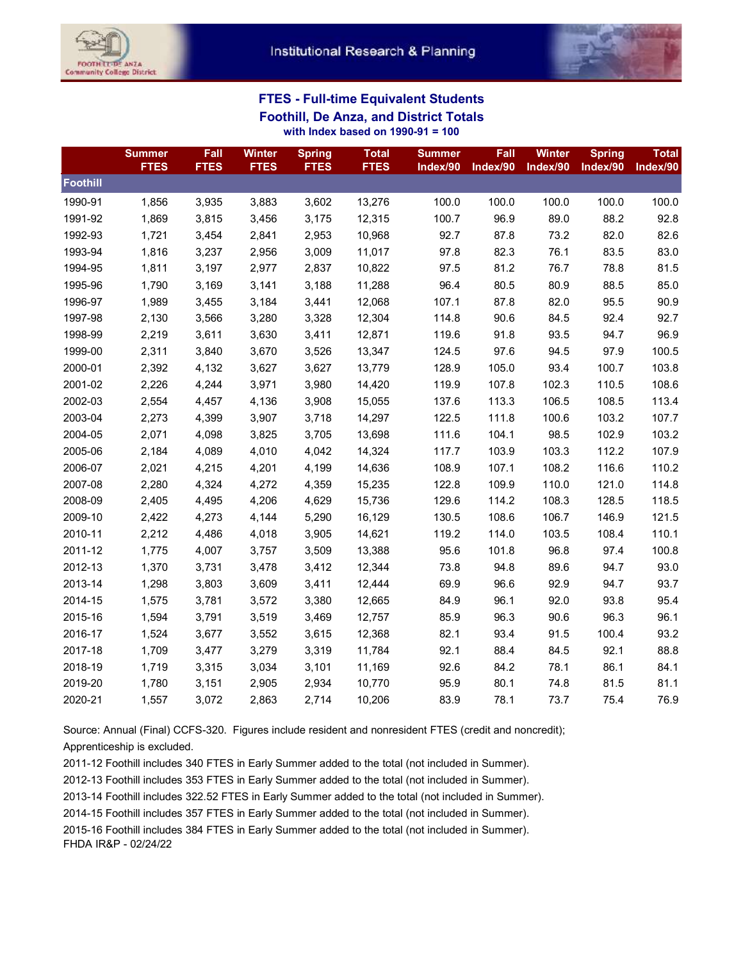



## **FTES - Full-time Equivalent Students Foothill, De Anza, and District Totals with Index based on 1990-91 = 100**

|          | <b>Summer</b><br><b>FTES</b> | Fall<br><b>FTES</b> | <b>Winter</b><br><b>FTES</b> | <b>Spring</b><br><b>FTES</b> | <b>Total</b><br><b>FTES</b> | <b>Summer</b><br>Index/90 | Fall<br>Index/90 | <b>Winter</b><br>Index/90 | <b>Spring</b><br>Index/90 | <b>Total</b><br>Index/90 |
|----------|------------------------------|---------------------|------------------------------|------------------------------|-----------------------------|---------------------------|------------------|---------------------------|---------------------------|--------------------------|
| Foothill |                              |                     |                              |                              |                             |                           |                  |                           |                           |                          |
| 1990-91  | 1,856                        | 3,935               | 3,883                        | 3,602                        | 13,276                      | 100.0                     | 100.0            | 100.0                     | 100.0                     | 100.0                    |
| 1991-92  | 1,869                        | 3,815               | 3,456                        | 3,175                        | 12,315                      | 100.7                     | 96.9             | 89.0                      | 88.2                      | 92.8                     |
| 1992-93  | 1,721                        | 3,454               | 2,841                        | 2,953                        | 10,968                      | 92.7                      | 87.8             | 73.2                      | 82.0                      | 82.6                     |
| 1993-94  | 1,816                        | 3,237               | 2,956                        | 3,009                        | 11,017                      | 97.8                      | 82.3             | 76.1                      | 83.5                      | 83.0                     |
| 1994-95  | 1,811                        | 3,197               | 2,977                        | 2,837                        | 10,822                      | 97.5                      | 81.2             | 76.7                      | 78.8                      | 81.5                     |
| 1995-96  | 1,790                        | 3,169               | 3,141                        | 3,188                        | 11,288                      | 96.4                      | 80.5             | 80.9                      | 88.5                      | 85.0                     |
| 1996-97  | 1,989                        | 3,455               | 3,184                        | 3,441                        | 12,068                      | 107.1                     | 87.8             | 82.0                      | 95.5                      | 90.9                     |
| 1997-98  | 2,130                        | 3,566               | 3,280                        | 3,328                        | 12,304                      | 114.8                     | 90.6             | 84.5                      | 92.4                      | 92.7                     |
| 1998-99  | 2,219                        | 3,611               | 3,630                        | 3,411                        | 12,871                      | 119.6                     | 91.8             | 93.5                      | 94.7                      | 96.9                     |
| 1999-00  | 2,311                        | 3,840               | 3,670                        | 3,526                        | 13,347                      | 124.5                     | 97.6             | 94.5                      | 97.9                      | 100.5                    |
| 2000-01  | 2,392                        | 4,132               | 3,627                        | 3,627                        | 13,779                      | 128.9                     | 105.0            | 93.4                      | 100.7                     | 103.8                    |
| 2001-02  | 2,226                        | 4,244               | 3,971                        | 3,980                        | 14,420                      | 119.9                     | 107.8            | 102.3                     | 110.5                     | 108.6                    |
| 2002-03  | 2,554                        | 4,457               | 4,136                        | 3,908                        | 15,055                      | 137.6                     | 113.3            | 106.5                     | 108.5                     | 113.4                    |
| 2003-04  | 2,273                        | 4,399               | 3,907                        | 3,718                        | 14,297                      | 122.5                     | 111.8            | 100.6                     | 103.2                     | 107.7                    |
| 2004-05  | 2,071                        | 4,098               | 3,825                        | 3,705                        | 13,698                      | 111.6                     | 104.1            | 98.5                      | 102.9                     | 103.2                    |
| 2005-06  | 2,184                        | 4,089               | 4,010                        | 4,042                        | 14,324                      | 117.7                     | 103.9            | 103.3                     | 112.2                     | 107.9                    |
| 2006-07  | 2,021                        | 4,215               | 4,201                        | 4,199                        | 14,636                      | 108.9                     | 107.1            | 108.2                     | 116.6                     | 110.2                    |
| 2007-08  | 2,280                        | 4,324               | 4,272                        | 4,359                        | 15,235                      | 122.8                     | 109.9            | 110.0                     | 121.0                     | 114.8                    |
| 2008-09  | 2,405                        | 4,495               | 4,206                        | 4,629                        | 15,736                      | 129.6                     | 114.2            | 108.3                     | 128.5                     | 118.5                    |
| 2009-10  | 2,422                        | 4,273               | 4,144                        | 5,290                        | 16,129                      | 130.5                     | 108.6            | 106.7                     | 146.9                     | 121.5                    |
| 2010-11  | 2,212                        | 4,486               | 4,018                        | 3,905                        | 14,621                      | 119.2                     | 114.0            | 103.5                     | 108.4                     | 110.1                    |
| 2011-12  | 1,775                        | 4,007               | 3,757                        | 3,509                        | 13,388                      | 95.6                      | 101.8            | 96.8                      | 97.4                      | 100.8                    |
| 2012-13  | 1,370                        | 3,731               | 3,478                        | 3,412                        | 12,344                      | 73.8                      | 94.8             | 89.6                      | 94.7                      | 93.0                     |
| 2013-14  | 1,298                        | 3,803               | 3,609                        | 3,411                        | 12,444                      | 69.9                      | 96.6             | 92.9                      | 94.7                      | 93.7                     |
| 2014-15  | 1,575                        | 3,781               | 3,572                        | 3,380                        | 12,665                      | 84.9                      | 96.1             | 92.0                      | 93.8                      | 95.4                     |
| 2015-16  | 1,594                        | 3,791               | 3,519                        | 3,469                        | 12,757                      | 85.9                      | 96.3             | 90.6                      | 96.3                      | 96.1                     |
| 2016-17  | 1,524                        | 3,677               | 3,552                        | 3,615                        | 12,368                      | 82.1                      | 93.4             | 91.5                      | 100.4                     | 93.2                     |
| 2017-18  | 1,709                        | 3,477               | 3,279                        | 3,319                        | 11,784                      | 92.1                      | 88.4             | 84.5                      | 92.1                      | 88.8                     |
| 2018-19  | 1,719                        | 3,315               | 3,034                        | 3,101                        | 11,169                      | 92.6                      | 84.2             | 78.1                      | 86.1                      | 84.1                     |
| 2019-20  | 1,780                        | 3,151               | 2,905                        | 2,934                        | 10,770                      | 95.9                      | 80.1             | 74.8                      | 81.5                      | 81.1                     |
| 2020-21  | 1,557                        | 3,072               | 2,863                        | 2,714                        | 10,206                      | 83.9                      | 78.1             | 73.7                      | 75.4                      | 76.9                     |

Source: Annual (Final) CCFS-320. Figures include resident and nonresident FTES (credit and noncredit); Apprenticeship is excluded.

2011-12 Foothill includes 340 FTES in Early Summer added to the total (not included in Summer).

2012-13 Foothill includes 353 FTES in Early Summer added to the total (not included in Summer).

2013-14 Foothill includes 322.52 FTES in Early Summer added to the total (not included in Summer).

2014-15 Foothill includes 357 FTES in Early Summer added to the total (not included in Summer).

2015-16 Foothill includes 384 FTES in Early Summer added to the total (not included in Summer).

FHDA IR&P - 02/24/22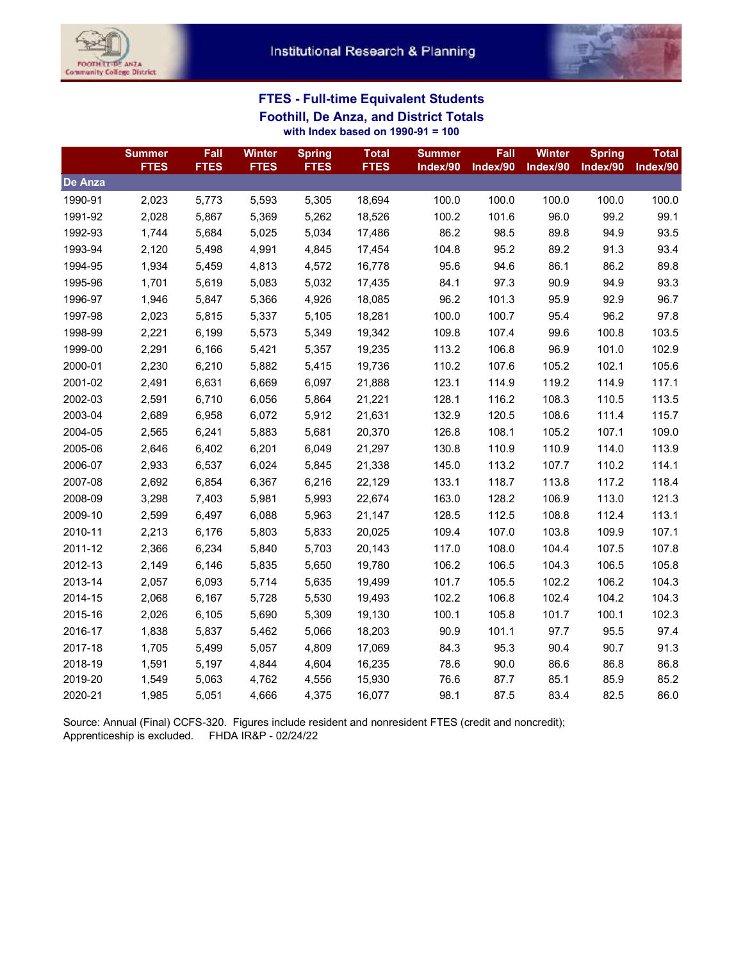



## **FTES - Full-time Equivalent Students Foothill, De Anza, and District Totals with Index based on 1990-91 = 100**

|                | <b>Summer</b><br><b>FTES</b> | Fall<br><b>FTES</b> | <b>Winter</b><br><b>FTES</b> | <b>Spring</b><br><b>FTES</b> | <b>Total</b><br><b>FTES</b> | <b>Summer</b><br>Index/90 | Fall<br>Index/90 | <b>Winter</b><br>Index/90 | <b>Spring</b><br>Index/90 | <b>Total</b><br>Index/90 |
|----------------|------------------------------|---------------------|------------------------------|------------------------------|-----------------------------|---------------------------|------------------|---------------------------|---------------------------|--------------------------|
| <b>De Anza</b> |                              |                     |                              |                              |                             |                           |                  |                           |                           |                          |
| 1990-91        | 2,023                        | 5,773               | 5,593                        | 5,305                        | 18,694                      | 100.0                     | 100.0            | 100.0                     | 100.0                     | 100.0                    |
| 1991-92        | 2,028                        | 5,867               | 5,369                        | 5,262                        | 18,526                      | 100.2                     | 101.6            | 96.0                      | 99.2                      | 99.1                     |
| 1992-93        | 1,744                        | 5,684               | 5,025                        | 5,034                        | 17,486                      | 86.2                      | 98.5             | 89.8                      | 94.9                      | 93.5                     |
| 1993-94        | 2,120                        | 5,498               | 4,991                        | 4,845                        | 17,454                      | 104.8                     | 95.2             | 89.2                      | 91.3                      | 93.4                     |
| 1994-95        | 1,934                        | 5,459               | 4,813                        | 4,572                        | 16,778                      | 95.6                      | 94.6             | 86.1                      | 86.2                      | 89.8                     |
| 1995-96        | 1,701                        | 5,619               | 5,083                        | 5,032                        | 17,435                      | 84.1                      | 97.3             | 90.9                      | 94.9                      | 93.3                     |
| 1996-97        | 1,946                        | 5,847               | 5,366                        | 4,926                        | 18,085                      | 96.2                      | 101.3            | 95.9                      | 92.9                      | 96.7                     |
| 1997-98        | 2,023                        | 5,815               | 5,337                        | 5,105                        | 18,281                      | 100.0                     | 100.7            | 95.4                      | 96.2                      | 97.8                     |
| 1998-99        | 2,221                        | 6,199               | 5,573                        | 5,349                        | 19,342                      | 109.8                     | 107.4            | 99.6                      | 100.8                     | 103.5                    |
| 1999-00        | 2,291                        | 6,166               | 5,421                        | 5,357                        | 19,235                      | 113.2                     | 106.8            | 96.9                      | 101.0                     | 102.9                    |
| 2000-01        | 2,230                        | 6,210               | 5,882                        | 5,415                        | 19,736                      | 110.2                     | 107.6            | 105.2                     | 102.1                     | 105.6                    |
| 2001-02        | 2,491                        | 6,631               | 6,669                        | 6,097                        | 21,888                      | 123.1                     | 114.9            | 119.2                     | 114.9                     | 117.1                    |
| 2002-03        | 2,591                        | 6,710               | 6,056                        | 5,864                        | 21,221                      | 128.1                     | 116.2            | 108.3                     | 110.5                     | 113.5                    |
| 2003-04        | 2,689                        | 6,958               | 6,072                        | 5,912                        | 21,631                      | 132.9                     | 120.5            | 108.6                     | 111.4                     | 115.7                    |
| 2004-05        | 2,565                        | 6,241               | 5,883                        | 5,681                        | 20,370                      | 126.8                     | 108.1            | 105.2                     | 107.1                     | 109.0                    |
| 2005-06        | 2,646                        | 6,402               | 6,201                        | 6,049                        | 21,297                      | 130.8                     | 110.9            | 110.9                     | 114.0                     | 113.9                    |
| 2006-07        | 2,933                        | 6,537               | 6,024                        | 5,845                        | 21,338                      | 145.0                     | 113.2            | 107.7                     | 110.2                     | 114.1                    |
| 2007-08        | 2,692                        | 6,854               | 6,367                        | 6,216                        | 22,129                      | 133.1                     | 118.7            | 113.8                     | 117.2                     | 118.4                    |
| 2008-09        | 3,298                        | 7,403               | 5,981                        | 5,993                        | 22,674                      | 163.0                     | 128.2            | 106.9                     | 113.0                     | 121.3                    |
| 2009-10        | 2,599                        | 6,497               | 6,088                        | 5,963                        | 21,147                      | 128.5                     | 112.5            | 108.8                     | 112.4                     | 113.1                    |
| 2010-11        | 2,213                        | 6,176               | 5,803                        | 5,833                        | 20,025                      | 109.4                     | 107.0            | 103.8                     | 109.9                     | 107.1                    |
| 2011-12        | 2,366                        | 6,234               | 5,840                        | 5,703                        | 20,143                      | 117.0                     | 108.0            | 104.4                     | 107.5                     | 107.8                    |
| 2012-13        | 2,149                        | 6,146               | 5,835                        | 5,650                        | 19,780                      | 106.2                     | 106.5            | 104.3                     | 106.5                     | 105.8                    |
| 2013-14        | 2,057                        | 6,093               | 5,714                        | 5,635                        | 19,499                      | 101.7                     | 105.5            | 102.2                     | 106.2                     | 104.3                    |
| 2014-15        | 2,068                        | 6,167               | 5,728                        | 5,530                        | 19,493                      | 102.2                     | 106.8            | 102.4                     | 104.2                     | 104.3                    |
| 2015-16        | 2,026                        | 6,105               | 5,690                        | 5,309                        | 19,130                      | 100.1                     | 105.8            | 101.7                     | 100.1                     | 102.3                    |
| 2016-17        | 1,838                        | 5,837               | 5,462                        | 5,066                        | 18,203                      | 90.9                      | 101.1            | 97.7                      | 95.5                      | 97.4                     |
| 2017-18        | 1,705                        | 5,499               | 5,057                        | 4,809                        | 17,069                      | 84.3                      | 95.3             | 90.4                      | 90.7                      | 91.3                     |
| 2018-19        | 1,591                        | 5,197               | 4,844                        | 4,604                        | 16,235                      | 78.6                      | 90.0             | 86.6                      | 86.8                      | 86.8                     |
| 2019-20        | 1,549                        | 5,063               | 4,762                        | 4,556                        | 15,930                      | 76.6                      | 87.7             | 85.1                      | 85.9                      | 85.2                     |
| 2020-21        | 1,985                        | 5,051               | 4,666                        | 4,375                        | 16,077                      | 98.1                      | 87.5             | 83.4                      | 82.5                      | 86.0                     |

Source: Annual (Final) CCFS-320. Figures include resident and nonresident FTES (credit and noncredit); Apprenticeship is excluded. FHDA IR&P - 02/24/22